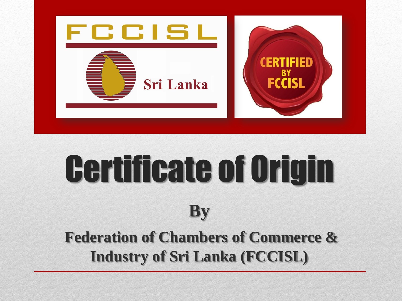

# Certificate of Origin **By**

#### **Federation of Chambers of Commerce & Industry of Sri Lanka (FCCISL)**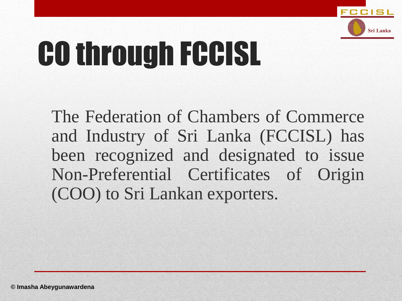

## CO through FCCISL

The Federation of Chambers of Commerce and Industry of Sri Lanka (FCCISL) has been recognized and designated to issue Non-Preferential Certificates of Origin (COO) to Sri Lankan exporters.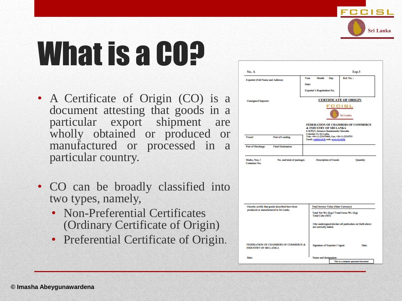

## What is a CO?

- A Certificate of Origin (CO) is a document attesting that goods in a particular export shipment are wholly obtained or produced or manufactured or processed in a particular country.
- CO can be broadly classified into two types, namely,
	- Non-Preferential Certificates (Ordinary Certificate of Origin)
	- Preferential Certificate of Origin.

|                                                               |                                                 |                              |                                                                                                                 |  |                             |                                             | Exp.5                                                     |
|---------------------------------------------------------------|-------------------------------------------------|------------------------------|-----------------------------------------------------------------------------------------------------------------|--|-----------------------------|---------------------------------------------|-----------------------------------------------------------|
| <b>Exporter (Full Name and Address)</b>                       |                                                 | Year                         | Month                                                                                                           |  | Day                         | Ref. No.:                                   |                                                           |
|                                                               |                                                 | Date:                        |                                                                                                                 |  |                             |                                             |                                                           |
|                                                               |                                                 |                              | Exporter's Registration No.                                                                                     |  |                             |                                             |                                                           |
| Consignee' Importer                                           |                                                 | <b>CERTIFICATE OF ORIGIN</b> |                                                                                                                 |  |                             |                                             |                                                           |
|                                                               |                                                 | Sri Lanka                    |                                                                                                                 |  |                             |                                             |                                                           |
|                                                               |                                                 |                              | & INDUSTRY OF SRI LANKA<br>#467/1/1, Sirimayo Bandaranaike Mawatha                                              |  |                             |                                             | <b>FEDERATION OF CHAMBERS OF COMMERCE</b>                 |
| Vessel<br>Port of Loading                                     |                                                 |                              | Colombo 14, Sri Lanka.<br>Tele: +94-11-2334740/4, Fax: +94-11-2334755<br>Email: co@fecial.lk web: www.fecial.lk |  |                             |                                             |                                                           |
| Port of Discharge                                             | <b>Final Destination</b>                        |                              |                                                                                                                 |  |                             |                                             |                                                           |
| Marks, Nos. /                                                 |                                                 |                              |                                                                                                                 |  |                             |                                             |                                                           |
|                                                               | No. and kind of packages                        |                              |                                                                                                                 |  | <b>Description of Goods</b> |                                             | Quantity                                                  |
|                                                               | I hereby certify that goods described have been |                              |                                                                                                                 |  |                             | <b>Total Invoice Value (State Currency)</b> |                                                           |
| <b>Container No.</b><br>produced or manufactured in Sri Lanka |                                                 |                              | Total Cube (M3)                                                                                                 |  |                             | Total Net Wt. (Kg) / Total Gross Wt. (Kg)   |                                                           |
|                                                               |                                                 |                              | are correctly stated.                                                                                           |  |                             |                                             | I the undersigned declare all particulars set forth above |
| <b>INDUSTRY OF SRI LANKA</b>                                  | <b>FEDERATION OF CHAMBERS OF COMMERCE &amp;</b> |                              | Signature of Exporter / Agent                                                                                   |  |                             |                                             | Date.                                                     |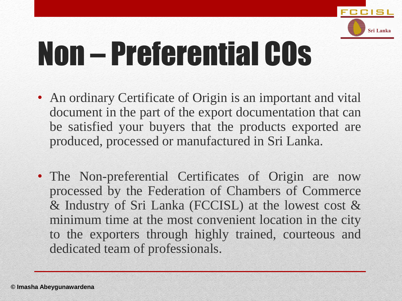

## Non – Preferential COs

- An ordinary Certificate of Origin is an important and vital document in the part of the export documentation that can be satisfied your buyers that the products exported are produced, processed or manufactured in Sri Lanka.
- The Non-preferential Certificates of Origin are now processed by the Federation of Chambers of Commerce & Industry of Sri Lanka (FCCISL) at the lowest cost & minimum time at the most convenient location in the city to the exporters through highly trained, courteous and dedicated team of professionals.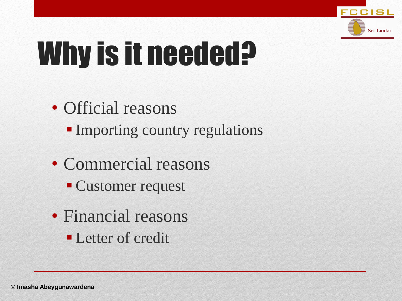

## Why is it needed?

- Official reasons
	- **Importing country regulations**
- Commercial reasons
	- Customer request
- Financial reasons **Letter of credit**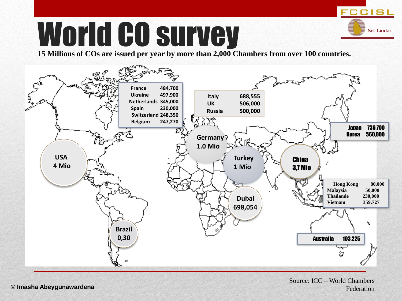### World CO survey

**15 Millions of COs are issued per year by more than 2,000 Chambers from over 100 countries.**



Source: ICC – World Chambers **© Imasha Abeygunawardena** Federation

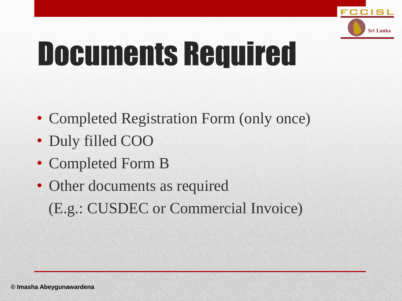

## Documents Required

- Completed Registration Form (only once)
- Duly filled COO
- Completed Form B
- Other documents as required (E.g.: CUSDEC or Commercial Invoice)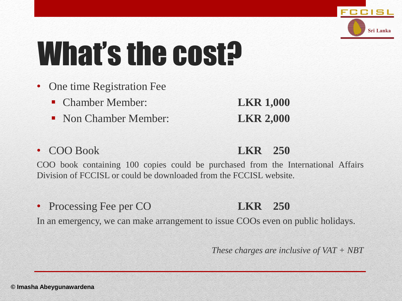

## What's the cost?

- One time Registration Fee
	- Chamber Member: **LKR 1,000**
	- **Non Chamber Member: LKR 2,000**
- COO Book **LKR 250**

COO book containing 100 copies could be purchased from the International Affairs Division of FCCISL or could be downloaded from the FCCISL website.

• Processing Fee per CO **LKR 250**

In an emergency, we can make arrangement to issue COOs even on public holidays.

*These charges are inclusive of VAT + NBT*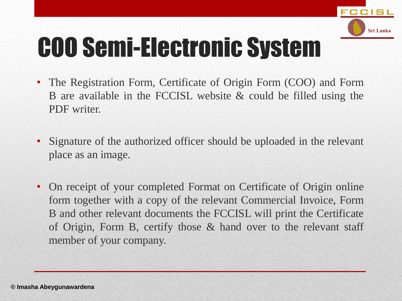

### COO Semi-Electronic System

- The Registration Form, Certificate of Origin Form (COO) and Form B are available in the FCCISL website & could be filled using the PDF writer.
- Signature of the authorized officer should be uploaded in the relevant place as an image.
- On receipt of your completed Format on Certificate of Origin online form together with a copy of the relevant Commercial Invoice, Form B and other relevant documents the FCCISL will print the Certificate of Origin, Form B, certify those & hand over to the relevant staff member of your company.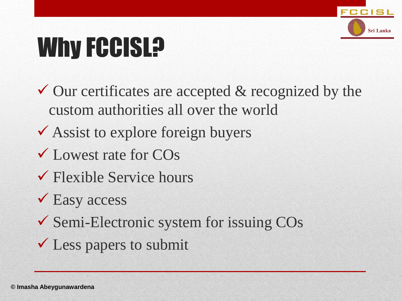

### Why FCCISL?

- $\checkmark$  Our certificates are accepted & recognized by the custom authorities all over the world
- ◆ Assist to explore foreign buyers
- Lowest rate for COs
- Flexible Service hours
- **V** Easy access
- Semi-Electronic system for issuing COs
- $\checkmark$  Less papers to submit